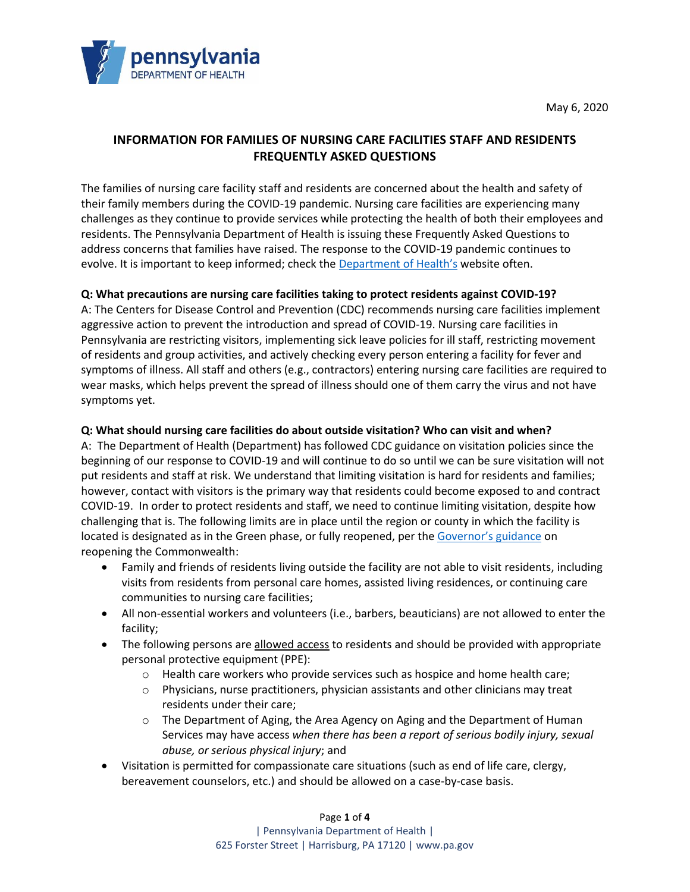

May 6, 2020

# **INFORMATION FOR FAMILIES OF NURSING CARE FACILITIES STAFF AND RESIDENTS FREQUENTLY ASKED QUESTIONS**

The families of nursing care facility staff and residents are concerned about the health and safety of their family members during the COVID-19 pandemic. Nursing care facilities are experiencing many challenges as they continue to provide services while protecting the health of both their employees and residents. The Pennsylvania Department of Health is issuing these Frequently Asked Questions to address concerns that families have raised. The response to the COVID-19 pandemic continues to evolve. It is important to keep informed; check the [Department of Health's](https://www.health.pa.gov/topics/disease/coronavirus/Pages/Coronavirus.aspx) website often.

# **Q: What precautions are nursing care facilities taking to protect residents against COVID-19?**

A: The Centers for Disease Control and Prevention (CDC) recommends nursing care facilities implement aggressive action to prevent the introduction and spread of COVID-19. Nursing care facilities in Pennsylvania are restricting visitors, implementing sick leave policies for ill staff, restricting movement of residents and group activities, and actively checking every person entering a facility for fever and symptoms of illness. All staff and others (e.g., contractors) entering nursing care facilities are required to wear masks, which helps prevent the spread of illness should one of them carry the virus and not have symptoms yet.

## **Q: What should nursing care facilities do about outside visitation? Who can visit and when?**

A: The Department of Health (Department) has followed CDC guidance on visitation policies since the beginning of our response to COVID-19 and will continue to do so until we can be sure visitation will not put residents and staff at risk. We understand that limiting visitation is hard for residents and families; however, contact with visitors is the primary way that residents could become exposed to and contract COVID-19. In order to protect residents and staff, we need to continue limiting visitation, despite how challenging that is. The following limits are in place until the region or county in which the facility is located is designated as in the Green phase, or fully reopened, per the [Governor's guidance](https://www.governor.pa.gov/process-to-reopen-pennsylvania/) on reopening the Commonwealth:

- Family and friends of residents living outside the facility are not able to visit residents, including visits from residents from personal care homes, assisted living residences, or continuing care communities to nursing care facilities;
- All non-essential workers and volunteers (i.e., barbers, beauticians) are not allowed to enter the facility;
- The following persons are allowed access to residents and should be provided with appropriate personal protective equipment (PPE):
	- $\circ$  Health care workers who provide services such as hospice and home health care;
	- $\circ$  Physicians, nurse practitioners, physician assistants and other clinicians may treat residents under their care;
	- o The Department of Aging, the Area Agency on Aging and the Department of Human Services may have access *when there has been a report of serious bodily injury, sexual abuse, or serious physical injury*; and
- Visitation is permitted for compassionate care situations (such as end of life care, clergy, bereavement counselors, etc.) and should be allowed on a case-by-case basis.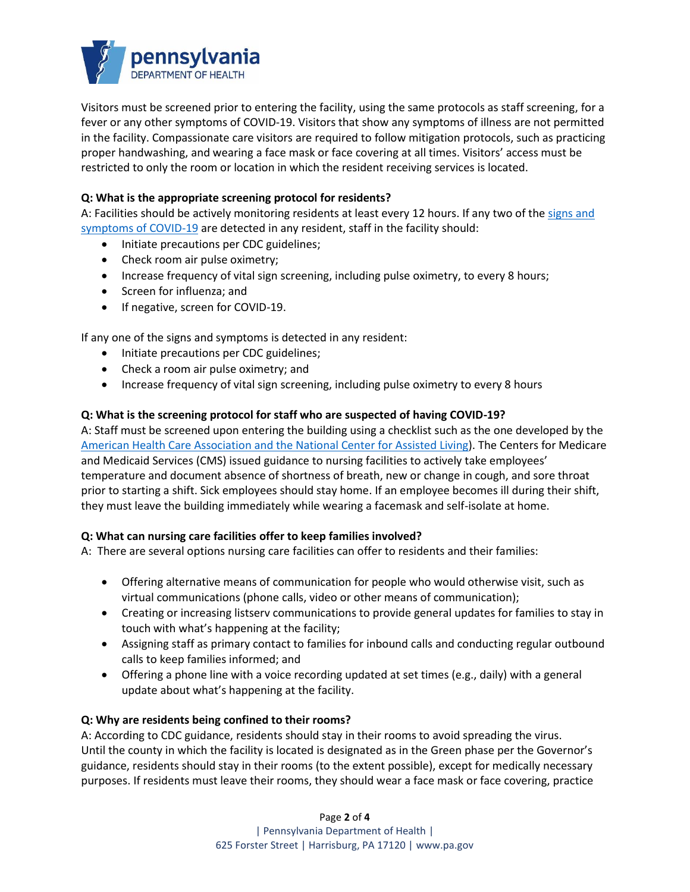

Visitors must be screened prior to entering the facility, using the same protocols as staff screening, for a fever or any other symptoms of COVID-19. Visitors that show any symptoms of illness are not permitted in the facility. Compassionate care visitors are required to follow mitigation protocols, such as practicing proper handwashing, and wearing a face mask or face covering at all times. Visitors' access must be restricted to only the room or location in which the resident receiving services is located.

## **Q: What is the appropriate screening protocol for residents?**

A: Facilities should be actively monitoring residents at least every 12 hours. If any two of the signs and [symptoms of COVID-19](https://www.cdc.gov/coronavirus/2019-ncov/symptoms-testing/symptoms.html) are detected in any resident, staff in the facility should:

- Initiate precautions per CDC guidelines;
- Check room air pulse oximetry;
- Increase frequency of vital sign screening, including pulse oximetry, to every 8 hours;
- Screen for influenza; and
- If negative, screen for COVID-19.

If any one of the signs and symptoms is detected in any resident:

- Initiate precautions per CDC guidelines;
- Check a room air pulse oximetry; and
- Increase frequency of vital sign screening, including pulse oximetry to every 8 hours

## **Q: What is the screening protocol for staff who are suspected of having COVID-19?**

A: Staff must be screened upon entering the building using a checklist such as the one developed by the [American Health Care Association and the National Center for Assisted Living\)](https://www.ahcancal.org/facility_operations/disaster_planning/Documents/COVID19-Screening-Checklist-SNF-Visitors.pdf). The Centers for Medicare and Medicaid Services (CMS) issued guidance to nursing facilities to actively take employees' temperature and document absence of shortness of breath, new or change in cough, and sore throat prior to starting a shift. Sick employees should stay home. If an employee becomes ill during their shift, they must leave the building immediately while wearing a facemask and self-isolate at home.

## **Q: What can nursing care facilities offer to keep families involved?**

A: There are several options nursing care facilities can offer to residents and their families:

- Offering alternative means of communication for people who would otherwise visit, such as virtual communications (phone calls, video or other means of communication);
- Creating or increasing listserv communications to provide general updates for families to stay in touch with what's happening at the facility;
- Assigning staff as primary contact to families for inbound calls and conducting regular outbound calls to keep families informed; and
- Offering a phone line with a voice recording updated at set times (e.g., daily) with a general update about what's happening at the facility.

## **Q: Why are residents being confined to their rooms?**

A: According to CDC guidance, residents should stay in their rooms to avoid spreading the virus. Until the county in which the facility is located is designated as in the Green phase per the Governor's guidance, residents should stay in their rooms (to the extent possible), except for medically necessary purposes. If residents must leave their rooms, they should wear a face mask or face covering, practice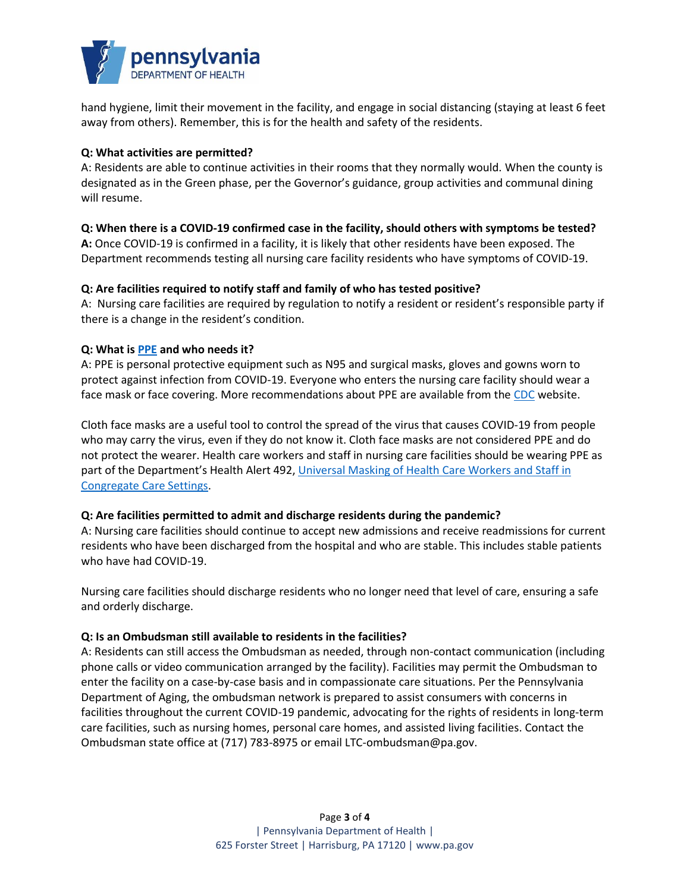

hand hygiene, limit their movement in the facility, and engage in social distancing (staying at least 6 feet away from others). Remember, this is for the health and safety of the residents.

## **Q: What activities are permitted?**

A: Residents are able to continue activities in their rooms that they normally would. When the county is designated as in the Green phase, per the Governor's guidance, group activities and communal dining will resume.

## **Q: When there is a COVID-19 confirmed case in the facility, should others with symptoms be tested?**

**A:** Once COVID-19 is confirmed in a facility, it is likely that other residents have been exposed. The Department recommends testing all nursing care facility residents who have symptoms of COVID-19.

## **Q: Are facilities required to notify staff and family of who has tested positive?**

A: Nursing care facilities are required by regulation to notify a resident or resident's responsible party if there is a change in the resident's condition.

## **Q: What is [PPE](https://www.health.pa.gov/topics/Documents/Diseases%20and%20Conditions/COVID-19%20PPE%20Fact%20Sheet.pdf) and who needs it?**

A: PPE is personal protective equipment such as N95 and surgical masks, gloves and gowns worn to protect against infection from COVID-19. Everyone who enters the nursing care facility should wear a face mask or face covering. More recommendations about PPE are available from the [CDC](https://www.cdc.gov/coronavirus/2019-ncov/hcp/long-term-care.html) website.

Cloth face masks are a useful tool to control the spread of the virus that causes COVID-19 from people who may carry the virus, even if they do not know it. Cloth face masks are not considered PPE and do not protect the wearer. Health care workers and staff in nursing care facilities should be wearing PPE as part of the Department's Health Alert 492, Universal Masking of Health Care Workers and Staff in [Congregate Care Settings.](https://www.health.pa.gov/topics/Documents/HAN/2020-PAHAN-492-04-03-ALT-Universal%20Masking.pdf)

## **Q: Are facilities permitted to admit and discharge residents during the pandemic?**

A: Nursing care facilities should continue to accept new admissions and receive readmissions for current residents who have been discharged from the hospital and who are stable. This includes stable patients who have had COVID-19.

Nursing care facilities should discharge residents who no longer need that level of care, ensuring a safe and orderly discharge.

## **Q: Is an Ombudsman still available to residents in the facilities?**

A: Residents can still access the Ombudsman as needed, through non-contact communication (including phone calls or video communication arranged by the facility). Facilities may permit the Ombudsman to enter the facility on a case-by-case basis and in compassionate care situations. Per the Pennsylvania Department of Aging, the ombudsman network is prepared to assist consumers with concerns in facilities throughout the current COVID-19 pandemic, advocating for the rights of residents in long-term care facilities, such as nursing homes, personal care homes, and assisted living facilities. Contact the Ombudsman state office at (717) 783-8975 or email [LTC-ombudsman@pa.gov.](mailto:LTC-ombudsman@pa.gov)